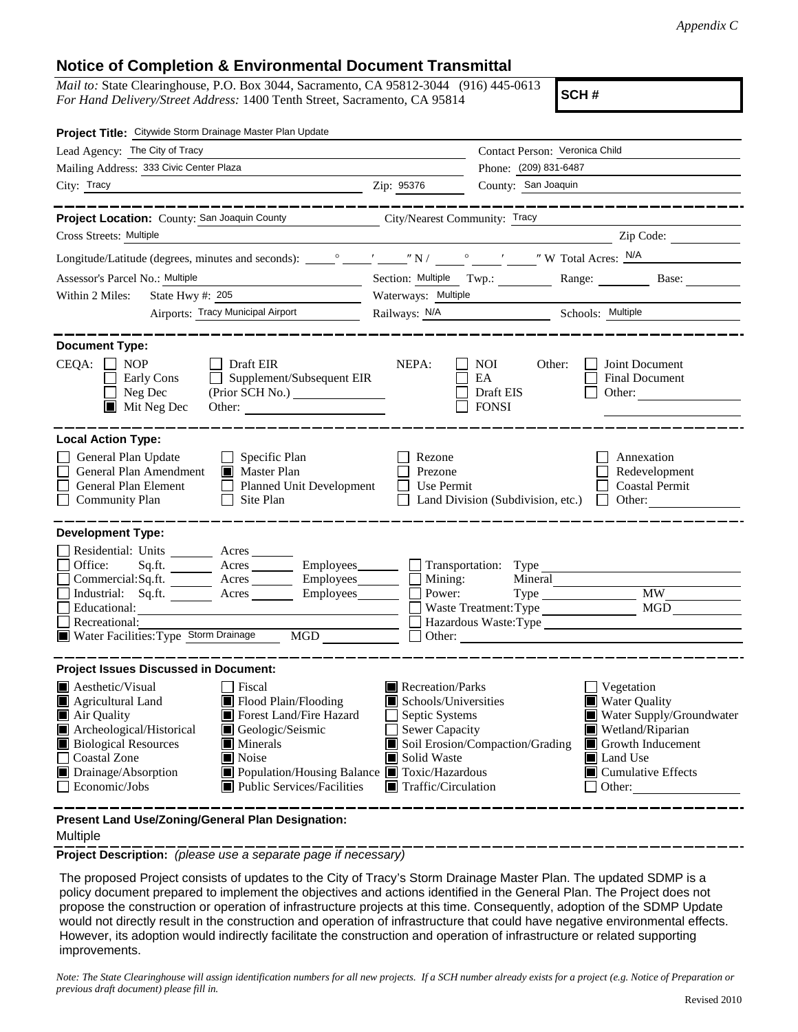## **Notice of Completion & Environmental Document Transmittal**

*Mail to:* State Clearinghouse, P.O. Box 3044, Sacramento, CA 95812-3044 (916) 445-0613 *For Hand Delivery/Street Address:* 1400 Tenth Street, Sacramento, CA 95814

**SCH #**

| Project Title: Citywide Storm Drainage Master Plan Update                                                                                                                      |                                                                                                                                                                                                                                                                                       |                                                                                                                                   |                                                  |                                                                                                                                                                                                                                                                                                                                                                                                                      |  |
|--------------------------------------------------------------------------------------------------------------------------------------------------------------------------------|---------------------------------------------------------------------------------------------------------------------------------------------------------------------------------------------------------------------------------------------------------------------------------------|-----------------------------------------------------------------------------------------------------------------------------------|--------------------------------------------------|----------------------------------------------------------------------------------------------------------------------------------------------------------------------------------------------------------------------------------------------------------------------------------------------------------------------------------------------------------------------------------------------------------------------|--|
| Lead Agency: The City of Tracy                                                                                                                                                 |                                                                                                                                                                                                                                                                                       | Contact Person: Veronica Child                                                                                                    |                                                  |                                                                                                                                                                                                                                                                                                                                                                                                                      |  |
| Mailing Address: 333 Civic Center Plaza                                                                                                                                        |                                                                                                                                                                                                                                                                                       | Phone: (209) 831-6487                                                                                                             |                                                  |                                                                                                                                                                                                                                                                                                                                                                                                                      |  |
| City: Tracy                                                                                                                                                                    | County: San Joaquin<br>Zip: 95376                                                                                                                                                                                                                                                     |                                                                                                                                   |                                                  |                                                                                                                                                                                                                                                                                                                                                                                                                      |  |
|                                                                                                                                                                                |                                                                                                                                                                                                                                                                                       |                                                                                                                                   |                                                  |                                                                                                                                                                                                                                                                                                                                                                                                                      |  |
| Project Location: County: San Joaquin County County City/Nearest Community: Tracy                                                                                              |                                                                                                                                                                                                                                                                                       |                                                                                                                                   |                                                  |                                                                                                                                                                                                                                                                                                                                                                                                                      |  |
| Cross Streets: Multiple                                                                                                                                                        |                                                                                                                                                                                                                                                                                       |                                                                                                                                   |                                                  | $\frac{1}{\sqrt{1-\frac{1}{2}}\sqrt{1-\frac{1}{2}}\sqrt{1-\frac{1}{2}}\sqrt{1-\frac{1}{2}}\sqrt{1-\frac{1}{2}}\sqrt{1-\frac{1}{2}}\sqrt{1-\frac{1}{2}}\sqrt{1-\frac{1}{2}}\sqrt{1-\frac{1}{2}}\sqrt{1-\frac{1}{2}}\sqrt{1-\frac{1}{2}}\sqrt{1-\frac{1}{2}}\sqrt{1-\frac{1}{2}}\sqrt{1-\frac{1}{2}}\sqrt{1-\frac{1}{2}}\sqrt{1-\frac{1}{2}}\sqrt{1-\frac{1}{2}}\sqrt{1-\frac{1}{2}}\sqrt{1-\frac{1}{2}}\sqrt{1-\frac$ |  |
|                                                                                                                                                                                |                                                                                                                                                                                                                                                                                       |                                                                                                                                   |                                                  |                                                                                                                                                                                                                                                                                                                                                                                                                      |  |
| Assessor's Parcel No.: Multiple                                                                                                                                                |                                                                                                                                                                                                                                                                                       | Section: Multiple Twp.: Range:                                                                                                    | Base:                                            |                                                                                                                                                                                                                                                                                                                                                                                                                      |  |
| Within 2 Miles:                                                                                                                                                                | <u> 1989 - Johann Barbara, martin a</u><br>State Hwy #: $205$                                                                                                                                                                                                                         | Waterways: Multiple                                                                                                               |                                                  |                                                                                                                                                                                                                                                                                                                                                                                                                      |  |
|                                                                                                                                                                                | Airports: Tracy Municipal Airport                                                                                                                                                                                                                                                     |                                                                                                                                   | Railways: N/A Schools: Multiple                  |                                                                                                                                                                                                                                                                                                                                                                                                                      |  |
|                                                                                                                                                                                |                                                                                                                                                                                                                                                                                       |                                                                                                                                   |                                                  |                                                                                                                                                                                                                                                                                                                                                                                                                      |  |
| <b>Document Type:</b><br>$CEQA: \Box NOP$<br>Early Cons<br>Neg Dec<br>$\blacksquare$ Mit Neg Dec                                                                               | $\Box$ Draft EIR<br>$\Box$ Supplement/Subsequent EIR<br>Other:                                                                                                                                                                                                                        | NEPA:                                                                                                                             | NOI<br>Other:<br>EA<br>Draft EIS<br><b>FONSI</b> | Joint Document<br><b>Final Document</b><br>Other:                                                                                                                                                                                                                                                                                                                                                                    |  |
| <b>Local Action Type:</b><br>General Plan Update<br>General Plan Amendment<br>General Plan Element<br><b>Community Plan</b>                                                    | $\Box$ Specific Plan<br>Master Plan<br>Planned Unit Development<br>$\Box$<br>Site Plan                                                                                                                                                                                                | Rezone<br>Prezone<br><b>Use Permit</b>                                                                                            | Land Division (Subdivision, etc.)                | Annexation<br>Redevelopment<br><b>Coastal Permit</b><br>Other:                                                                                                                                                                                                                                                                                                                                                       |  |
| <b>Development Type:</b>                                                                                                                                                       |                                                                                                                                                                                                                                                                                       |                                                                                                                                   |                                                  |                                                                                                                                                                                                                                                                                                                                                                                                                      |  |
| Residential: Units _________ Acres _______<br>Office:<br>Educational:<br>Recreational:<br>Water Facilities: Type Storm Drainage MGD                                            | Sq.ft. ________ Acres _________ Employees _______ __ __ Transportation: Type ______________________<br>$Commercial:Sq.fit.$ $\overline{\qquad}$ Acres $\overline{\qquad}$ Employees $\overline{\qquad}$ Mining:<br>Industrial: Sq.ft. _______ Acres ________ Employees________ $\Box$ | Power:<br>$\mathsf{L}$                                                                                                            | Mineral<br>Waste Treatment: Type                 | Type MW<br>MGD<br>Hazardous Waste:Type                                                                                                                                                                                                                                                                                                                                                                               |  |
| <b>Project Issues Discussed in Document:</b>                                                                                                                                   |                                                                                                                                                                                                                                                                                       |                                                                                                                                   |                                                  |                                                                                                                                                                                                                                                                                                                                                                                                                      |  |
| Aesthetic/Visual<br>Agricultural Land<br>Air Quality<br>Archeological/Historical<br><b>Biological Resources</b><br><b>Coastal Zone</b><br>Drainage/Absorption<br>Economic/Jobs | Fiscal<br>Flood Plain/Flooding<br>Forest Land/Fire Hazard<br>Geologic/Seismic<br>$\blacksquare$ Minerals<br>$\blacksquare$ Noise<br>■ Population/Housing Balance ■ Toxic/Hazardous<br>$\blacksquare$ Public Services/Facilities                                                       | Recreation/Parks<br>Schools/Universities<br>Septic Systems<br>Sewer Capacity<br>Solid Waste<br>$\blacksquare$ Traffic/Circulation | Soil Erosion/Compaction/Grading                  | Vegetation<br>Water Quality<br>Water Supply/Groundwater<br>Wetland/Riparian<br>Growth Inducement<br>Land Use<br>$\Box$ Cumulative Effects<br>Other:                                                                                                                                                                                                                                                                  |  |
| Present Land Use/Zoning/General Plan Designation:                                                                                                                              |                                                                                                                                                                                                                                                                                       |                                                                                                                                   |                                                  |                                                                                                                                                                                                                                                                                                                                                                                                                      |  |

Multiple

**Project Description:** *(please use a separate page if necessary)*

 The proposed Project consists of updates to the City of Tracy's Storm Drainage Master Plan. The updated SDMP is a policy document prepared to implement the objectives and actions identified in the General Plan. The Project does not propose the construction or operation of infrastructure projects at this time. Consequently, adoption of the SDMP Update would not directly result in the construction and operation of infrastructure that could have negative environmental effects. However, its adoption would indirectly facilitate the construction and operation of infrastructure or related supporting improvements.

*Note: The State Clearinghouse will assign identification numbers for all new projects. If a SCH number already exists for a project (e.g. Notice of Preparation or previous draft document) please fill in.*